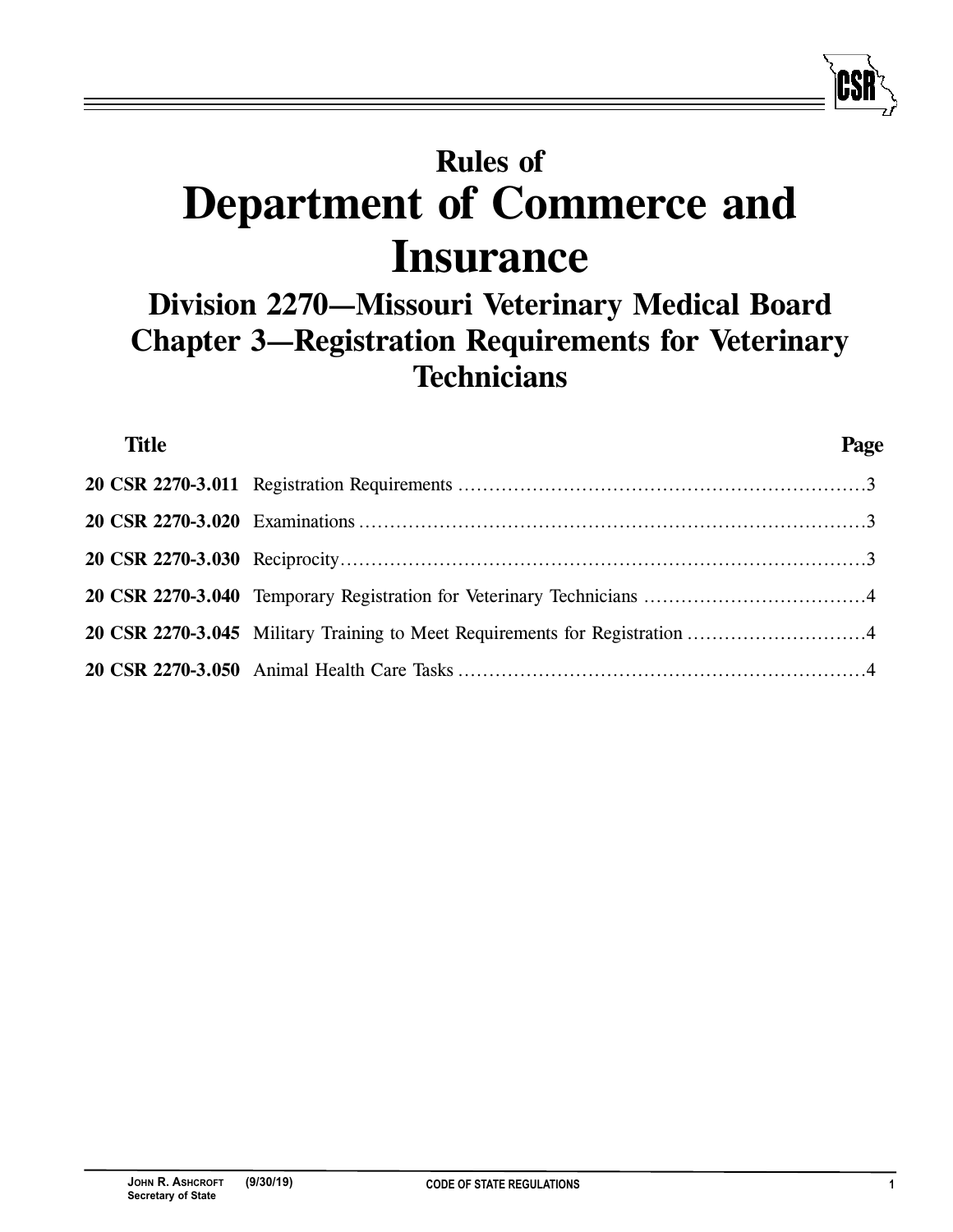# **Rules of Department of Commerce and Insurance**

## **Division 2270—Missouri Veterinary Medical Board Chapter 3—Registration Requirements for Veterinary Technicians**

| <b>Title</b> |                                                                             | Page |
|--------------|-----------------------------------------------------------------------------|------|
|              |                                                                             |      |
|              |                                                                             |      |
|              |                                                                             |      |
|              |                                                                             |      |
|              | 20 CSR 2270-3.045 Military Training to Meet Requirements for Registration 4 |      |
|              |                                                                             |      |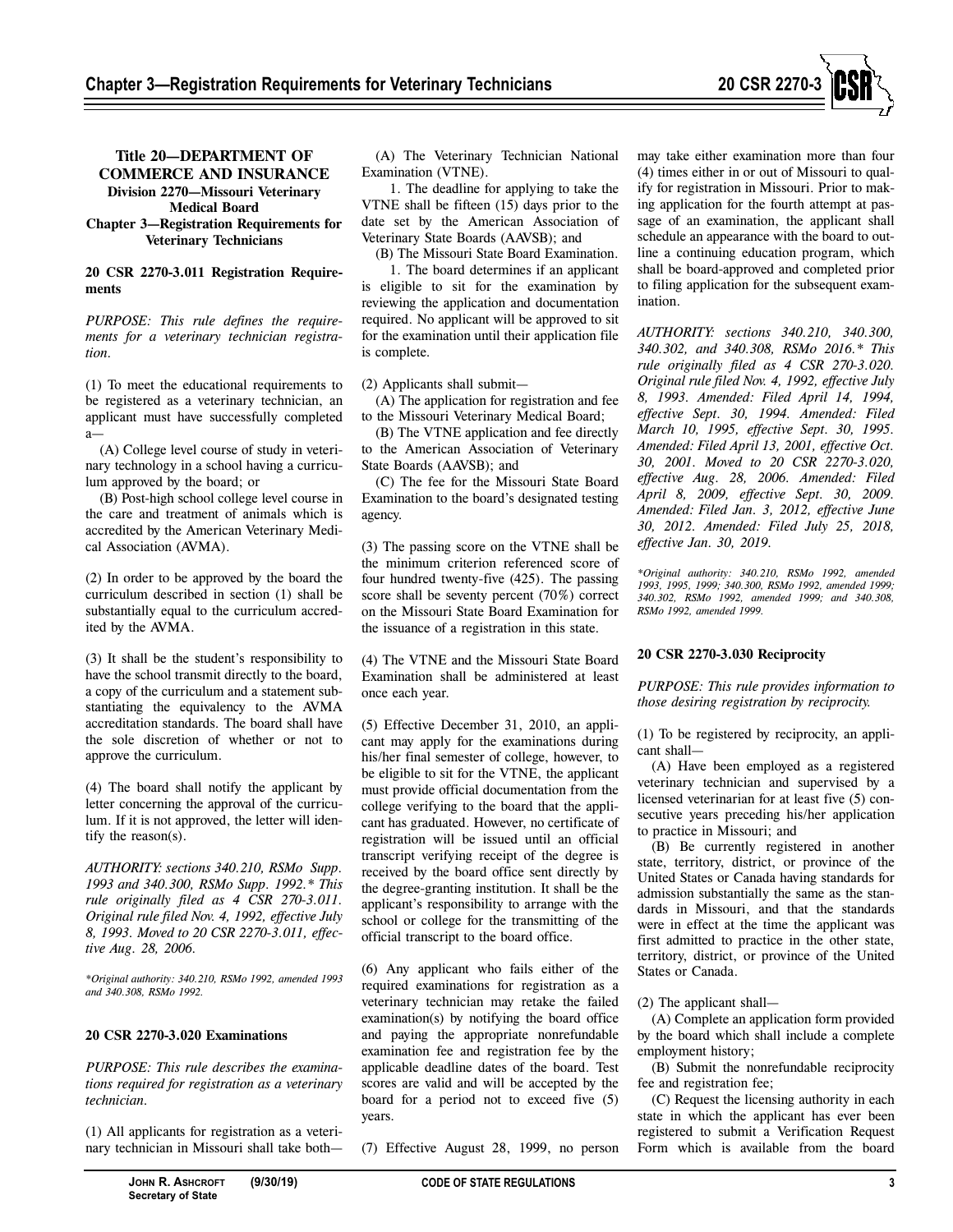

#### **Title 20—DEPARTMENT OF COMMERCE AND INSURANCE Division 2270—Missouri Veterinary Medical Board Chapter 3—Registration Requirements for Veterinary Technicians**

#### **20 CSR 2270-3.011 Registration Requirements**

*PURPOSE: This rule defines the requirements for a veterinary technician registration.* 

(1) To meet the educational requirements to be registered as a veterinary technician, an applicant must have successfully completed a—

(A) College level course of study in veterinary technology in a school having a curriculum approved by the board; or

(B) Post-high school college level course in the care and treatment of animals which is accredited by the American Veterinary Medical Association (AVMA).

(2) In order to be approved by the board the curriculum described in section (1) shall be substantially equal to the curriculum accredited by the AVMA.

(3) It shall be the student's responsibility to have the school transmit directly to the board, a copy of the curriculum and a statement substantiating the equivalency to the AVMA accreditation standards. The board shall have the sole discretion of whether or not to approve the curriculum.

(4) The board shall notify the applicant by letter concerning the approval of the curriculum. If it is not approved, the letter will identify the reason(s).

*AUTHORITY: sections 340.210, RSMo Supp. 1993 and 340.300, RSMo Supp. 1992.\* This rule originally filed as 4 CSR 270-3.011. Original rule filed Nov. 4, 1992, effective July 8, 1993. Moved to 20 CSR 2270-3.011, effective Aug. 28, 2006.* 

*\*Original authority: 340.210, RSMo 1992, amended 1993 and 340.308, RSMo 1992.* 

#### **20 CSR 2270-3.020 Examinations**

*PURPOSE: This rule describes the examinations required for registration as a veterinary technician.* 

(1) All applicants for registration as a veterinary technician in Missouri shall take both—

(A) The Veterinary Technician National Examination (VTNE).

1. The deadline for applying to take the VTNE shall be fifteen (15) days prior to the date set by the American Association of Veterinary State Boards (AAVSB); and

(B) The Missouri State Board Examination. 1. The board determines if an applicant

is eligible to sit for the examination by reviewing the application and documentation required. No applicant will be approved to sit for the examination until their application file is complete.

(2) Applicants shall submit—

(A) The application for registration and fee to the Missouri Veterinary Medical Board;

(B) The VTNE application and fee directly to the American Association of Veterinary State Boards (AAVSB); and

(C) The fee for the Missouri State Board Examination to the board's designated testing agency.

(3) The passing score on the VTNE shall be the minimum criterion referenced score of four hundred twenty-five (425). The passing score shall be seventy percent (70%) correct on the Missouri State Board Examination for the issuance of a registration in this state.

(4) The VTNE and the Missouri State Board Examination shall be administered at least once each year.

(5) Effective December 31, 2010, an applicant may apply for the examinations during his/her final semester of college, however, to be eligible to sit for the VTNE, the applicant must provide official documentation from the college verifying to the board that the applicant has graduated. However, no certificate of registration will be issued until an official transcript verifying receipt of the degree is received by the board office sent directly by the degree-granting institution. It shall be the applicant's responsibility to arrange with the school or college for the transmitting of the official transcript to the board office.

(6) Any applicant who fails either of the required examinations for registration as a veterinary technician may retake the failed examination(s) by notifying the board office and paying the appropriate nonrefundable examination fee and registration fee by the applicable deadline dates of the board. Test scores are valid and will be accepted by the board for a period not to exceed five (5) years.

(7) Effective August 28, 1999, no person

may take either examination more than four (4) times either in or out of Missouri to qualify for registration in Missouri. Prior to making application for the fourth attempt at passage of an examination, the applicant shall schedule an appearance with the board to outline a continuing education program, which shall be board-approved and completed prior to filing application for the subsequent examination.

*AUTHORITY: sections 340.210, 340.300, 340.302, and 340.308, RSMo 2016.\* This rule originally filed as 4 CSR 270-3.020. Original rule filed Nov. 4, 1992, effective July 8, 1993. Amended: Filed April 14, 1994, effective Sept. 30, 1994. Amended: Filed March 10, 1995, effective Sept. 30, 1995. Amended: Filed April 13, 2001, effective Oct. 30, 2001. Moved to 20 CSR 2270-3.020, effective Aug. 28, 2006. Amended: Filed April 8, 2009, effective Sept. 30, 2009. Amended: Filed Jan. 3, 2012, effective June 30, 2012. Amended: Filed July 25, 2018, effective Jan. 30, 2019.* 

*\*Original authority: 340.210, RSMo 1992, amended 1993, 1995, 1999; 340.300, RSMo 1992, amended 1999; 340.302, RSMo 1992, amended 1999; and 340.308, RSMo 1992, amended 1999.* 

### **20 CSR 2270-3.030 Reciprocity**

*PURPOSE: This rule provides information to those desiring registration by reciprocity.* 

(1) To be registered by reciprocity, an applicant shall—

(A) Have been employed as a registered veterinary technician and supervised by a licensed veterinarian for at least five (5) consecutive years preceding his/her application to practice in Missouri; and

(B) Be currently registered in another state, territory, district, or province of the United States or Canada having standards for admission substantially the same as the standards in Missouri, and that the standards were in effect at the time the applicant was first admitted to practice in the other state, territory, district, or province of the United States or Canada.

(2) The applicant shall—

(A) Complete an application form provided by the board which shall include a complete employment history;

(B) Submit the nonrefundable reciprocity fee and registration fee;

(C) Request the licensing authority in each state in which the applicant has ever been registered to submit a Verification Request Form which is available from the board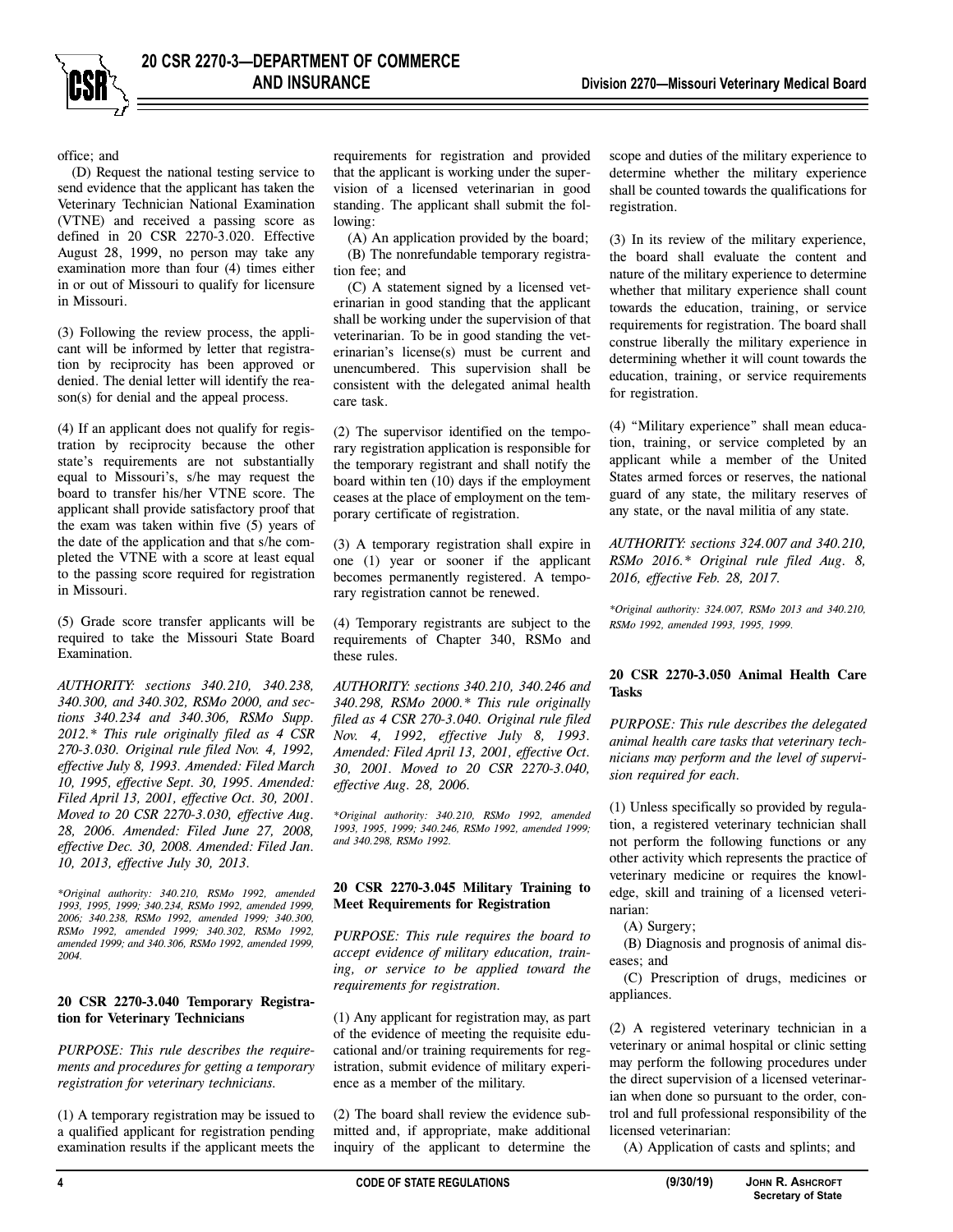office; and

(D) Request the national testing service to send evidence that the applicant has taken the Veterinary Technician National Examination (VTNE) and received a passing score as defined in 20 CSR 2270-3.020. Effective August 28, 1999, no person may take any examination more than four (4) times either in or out of Missouri to qualify for licensure in Missouri.

(3) Following the review process, the applicant will be informed by letter that registration by reciprocity has been approved or denied. The denial letter will identify the reason(s) for denial and the appeal process.

(4) If an applicant does not qualify for registration by reciprocity because the other state's requirements are not substantially equal to Missouri's, s/he may request the board to transfer his/her VTNE score. The applicant shall provide satisfactory proof that the exam was taken within five (5) years of the date of the application and that s/he completed the VTNE with a score at least equal to the passing score required for registration in Missouri.

(5) Grade score transfer applicants will be required to take the Missouri State Board Examination.

*AUTHORITY: sections 340.210, 340.238, 340.300, and 340.302, RSMo 2000, and sections 340.234 and 340.306, RSMo Supp. 2012.\* This rule originally filed as 4 CSR 270-3.030. Original rule filed Nov. 4, 1992, effective July 8, 1993. Amended: Filed March 10, 1995, effective Sept. 30, 1995. Amended: Filed April 13, 2001, effective Oct. 30, 2001. Moved to 20 CSR 2270-3.030, effective Aug. 28, 2006. Amended: Filed June 27, 2008, effective Dec. 30, 2008. Amended: Filed Jan. 10, 2013, effective July 30, 2013.* 

*\*Original authority: 340.210, RSMo 1992, amended 1993, 1995, 1999; 340.234, RSMo 1992, amended 1999, 2006; 340.238, RSMo 1992, amended 1999; 340.300, RSMo 1992, amended 1999; 340.302, RSMo 1992, amended 1999; and 340.306, RSMo 1992, amended 1999, 2004.* 

#### **20 CSR 2270-3.040 Temporary Registration for Veterinary Technicians**

*PURPOSE: This rule describes the requirements and procedures for getting a temporary registration for veterinary technicians.* 

(1) A temporary registration may be issued to a qualified applicant for registration pending examination results if the applicant meets the

requirements for registration and provided that the applicant is working under the supervision of a licensed veterinarian in good standing. The applicant shall submit the following:

(A) An application provided by the board; (B) The nonrefundable temporary registration fee; and

(C) A statement signed by a licensed veterinarian in good standing that the applicant shall be working under the supervision of that veterinarian. To be in good standing the veterinarian's license(s) must be current and unencumbered. This supervision shall be consistent with the delegated animal health care task.

(2) The supervisor identified on the temporary registration application is responsible for the temporary registrant and shall notify the board within ten (10) days if the employment ceases at the place of employment on the temporary certificate of registration.

(3) A temporary registration shall expire in one (1) year or sooner if the applicant becomes permanently registered. A temporary registration cannot be renewed.

(4) Temporary registrants are subject to the requirements of Chapter 340, RSMo and these rules.

*AUTHORITY: sections 340.210, 340.246 and 340.298, RSMo 2000.\* This rule originally filed as 4 CSR 270-3.040. Original rule filed Nov. 4, 1992, effective July 8, 1993. Amended: Filed April 13, 2001, effective Oct. 30, 2001. Moved to 20 CSR 2270-3.040, effective Aug. 28, 2006.* 

*\*Original authority: 340.210, RSMo 1992, amended 1993, 1995, 1999; 340.246, RSMo 1992, amended 1999; and 340.298, RSMo 1992.* 

#### **20 CSR 2270-3.045 Military Training to Meet Requirements for Registration**

*PURPOSE: This rule requires the board to accept evidence of military education, training, or service to be applied toward the requirements for registration.* 

(1) Any applicant for registration may, as part of the evidence of meeting the requisite educational and/or training requirements for registration, submit evidence of military experience as a member of the military.

(2) The board shall review the evidence submitted and, if appropriate, make additional inquiry of the applicant to determine the scope and duties of the military experience to determine whether the military experience shall be counted towards the qualifications for registration.

(3) In its review of the military experience, the board shall evaluate the content and nature of the military experience to determine whether that military experience shall count towards the education, training, or service requirements for registration. The board shall construe liberally the military experience in determining whether it will count towards the education, training, or service requirements for registration.

(4) "Military experience" shall mean education, training, or service completed by an applicant while a member of the United States armed forces or reserves, the national guard of any state, the military reserves of any state, or the naval militia of any state.

*AUTHORITY: sections 324.007 and 340.210, RSMo 2016.\* Original rule filed Aug. 8, 2016, effective Feb. 28, 2017.* 

*\*Original authority: 324.007, RSMo 2013 and 340.210, RSMo 1992, amended 1993, 1995, 1999.*

#### **20 CSR 2270-3.050 Animal Health Care Tasks**

*PURPOSE: This rule describes the delegated animal health care tasks that veterinary technicians may perform and the level of supervision required for each.* 

(1) Unless specifically so provided by regulation, a registered veterinary technician shall not perform the following functions or any other activity which represents the practice of veterinary medicine or requires the knowledge, skill and training of a licensed veterinarian:

(A) Surgery;

(B) Diagnosis and prognosis of animal diseases; and

(C) Prescription of drugs, medicines or appliances.

(2) A registered veterinary technician in a veterinary or animal hospital or clinic setting may perform the following procedures under the direct supervision of a licensed veterinarian when done so pursuant to the order, control and full professional responsibility of the licensed veterinarian:

(A) Application of casts and splints; and